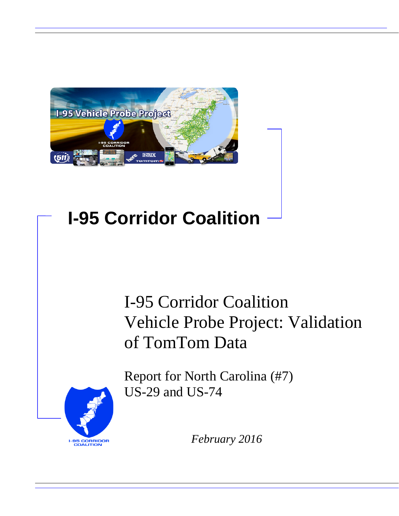

# **I-95 Corridor Coalition**

# I-95 Corridor Coalition Vehicle Probe Project: Validation of TomTom Data

**I-95 CORRIDOR**<br>COALITION

Report for North Carolina (#7) US-29 and US-74

*February 2016*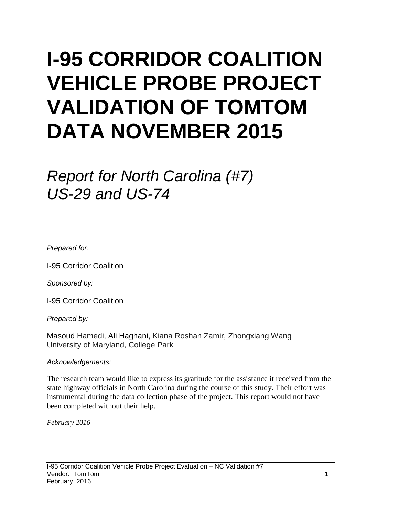# **I-95 CORRIDOR COALITION VEHICLE PROBE PROJECT VALIDATION OF TOMTOM DATA NOVEMBER 2015**

# *Report for North Carolina (#7) US-29 and US-74*

*Prepared for:*

I-95 Corridor Coalition

*Sponsored by:*

I-95 Corridor Coalition

*Prepared by:*

Masoud Hamedi, Ali Haghani, Kiana Roshan Zamir, Zhongxiang Wang University of Maryland, College Park

*Acknowledgements:*

The research team would like to express its gratitude for the assistance it received from the state highway officials in North Carolina during the course of this study. Their effort was instrumental during the data collection phase of the project. This report would not have been completed without their help.

*February 2016*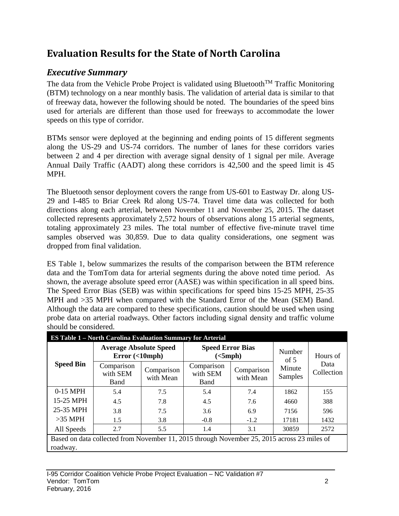# **Evaluation Results for the State of North Carolina**

## *Executive Summary*

The data from the Vehicle Probe Project is validated using Bluetooth<sup>TM</sup> Traffic Monitoring (BTM) technology on a near monthly basis. The validation of arterial data is similar to that of freeway data, however the following should be noted. The boundaries of the speed bins used for arterials are different than those used for freeways to accommodate the lower speeds on this type of corridor.

BTMs sensor were deployed at the beginning and ending points of 15 different segments along the US-29 and US-74 corridors. The number of lanes for these corridors varies between 2 and 4 per direction with average signal density of 1 signal per mile. Average Annual Daily Traffic (AADT) along these corridors is 42,500 and the speed limit is 45 MPH.

The Bluetooth sensor deployment covers the range from US-601 to Eastway Dr. along US-29 and I-485 to Briar Creek Rd along US-74. Travel time data was collected for both directions along each arterial, between November 11 and November 25, 2015. The dataset collected represents approximately 2,572 hours of observations along 15 arterial segments, totaling approximately 23 miles. The total number of effective five-minute travel time samples observed was 30,859. Due to data quality considerations, one segment was dropped from final validation.

ES Table 1, below summarizes the results of the comparison between the BTM reference data and the TomTom data for arterial segments during the above noted time period. As shown, the average absolute speed error (AASE) was within specification in all speed bins. The Speed Error Bias (SEB) was within specifications for speed bins 15-25 MPH, 25-35 MPH and >35 MPH when compared with the Standard Error of the Mean (SEM) Band. Although the data are compared to these specifications, caution should be used when using probe data on arterial roadways. Other factors including signal density and traffic volume should be considered.

| <b>ES Table 1 - North Carolina Evaluation Summary for Arterial</b>                                      |                                                |                         |                                                                  |        |                   |                    |  |  |  |
|---------------------------------------------------------------------------------------------------------|------------------------------------------------|-------------------------|------------------------------------------------------------------|--------|-------------------|--------------------|--|--|--|
| <b>Speed Bin</b>                                                                                        | <b>Average Absolute Speed</b><br>Error(<10mph) |                         | <b>Speed Error Bias</b><br>(<5 mph)                              |        | Number<br>of $5$  | Hours of           |  |  |  |
|                                                                                                         | Comparison<br>with SEM<br>Band                 | Comparison<br>with Mean | Comparison<br>Comparison<br>with SEM<br>with Mean<br><b>Band</b> |        | Minute<br>Samples | Data<br>Collection |  |  |  |
| $0-15$ MPH                                                                                              | 7.5<br>5.4                                     |                         | 5.4                                                              | 7.4    | 1862              | 155                |  |  |  |
| 15-25 MPH                                                                                               | 4.5                                            | 7.8                     | 4.5                                                              | 7.6    | 4660              | 388                |  |  |  |
| 25-35 MPH                                                                                               | 3.8                                            | 7.5                     | 3.6                                                              | 6.9    | 7156              | 596                |  |  |  |
| $>35$ MPH                                                                                               | 1.5                                            | 3.8                     | $-0.8$                                                           | $-1.2$ | 17181             | 1432               |  |  |  |
| All Speeds                                                                                              | 2.7                                            | 5.5                     | 1.4                                                              | 3.1    | 30859             | 2572               |  |  |  |
| Based on data collected from November 11, 2015 through November 25, 2015 across 23 miles of<br>roadway. |                                                |                         |                                                                  |        |                   |                    |  |  |  |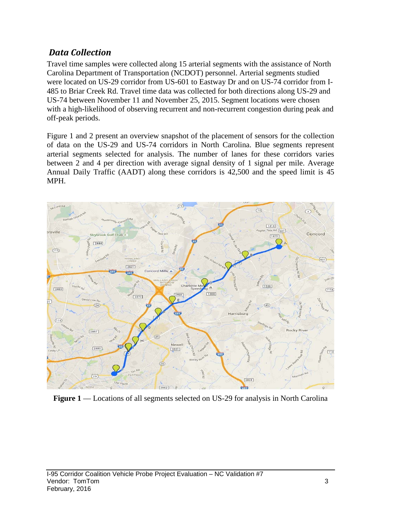### *Data Collection*

Travel time samples were collected along 15 arterial segments with the assistance of North Carolina Department of Transportation (NCDOT) personnel. Arterial segments studied were located on US-29 corridor from US-601 to Eastway Dr and on US-74 corridor from I-485 to Briar Creek Rd. Travel time data was collected for both directions along US-29 and US-74 between November 11 and November 25, 2015. Segment locations were chosen with a high-likelihood of observing recurrent and non-recurrent congestion during peak and off-peak periods.

Figure 1 and 2 present an overview snapshot of the placement of sensors for the collection of data on the US-29 and US-74 corridors in North Carolina. Blue segments represent arterial segments selected for analysis. The number of lanes for these corridors varies between 2 and 4 per direction with average signal density of 1 signal per mile. Average Annual Daily Traffic (AADT) along these corridors is 42,500 and the speed limit is 45 MPH.



**Figure 1** — Locations of all segments selected on US-29 for analysis in North Carolina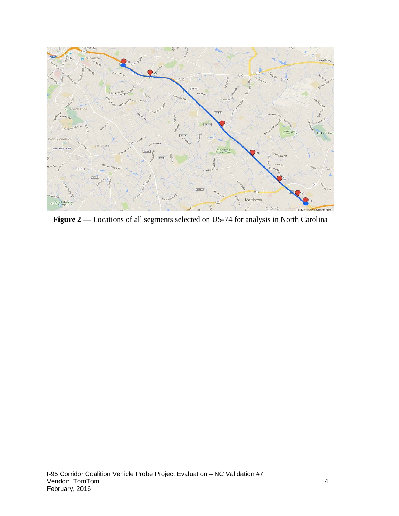

Figure 2 –– Locations of all segments selected on US-74 for analysis in North Carolina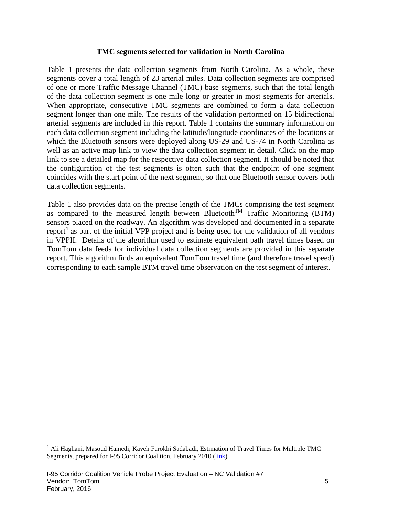#### **TMC segments selected for validation in North Carolina**

Table 1 presents the data collection segments from North Carolina. As a whole, these segments cover a total length of 23 arterial miles. Data collection segments are comprised of one or more Traffic Message Channel (TMC) base segments, such that the total length of the data collection segment is one mile long or greater in most segments for arterials. When appropriate, consecutive TMC segments are combined to form a data collection segment longer than one mile. The results of the validation performed on 15 bidirectional arterial segments are included in this report. Table 1 contains the summary information on each data collection segment including the latitude/longitude coordinates of the locations at which the Bluetooth sensors were deployed along US-29 and US-74 in North Carolina as well as an active map link to view the data collection segment in detail. Click on the map link to see a detailed map for the respective data collection segment. It should be noted that the configuration of the test segments is often such that the endpoint of one segment coincides with the start point of the next segment, so that one Bluetooth sensor covers both data collection segments.

Table 1 also provides data on the precise length of the TMCs comprising the test segment as compared to the measured length between Bluetooth<sup>TM</sup> Traffic Monitoring (BTM) sensors placed on the roadway. An algorithm was developed and documented in a separate report<sup>[1](#page-5-0)</sup> as part of the initial VPP project and is being used for the validation of all vendors in VPPII. Details of the algorithm used to estimate equivalent path travel times based on TomTom data feeds for individual data collection segments are provided in this separate report. This algorithm finds an equivalent TomTom travel time (and therefore travel speed) corresponding to each sample BTM travel time observation on the test segment of interest.

<span id="page-5-0"></span><sup>&</sup>lt;sup>1</sup> Ali Haghani, Masoud Hamedi, Kaveh Farokhi Sadabadi, Estimation of Travel Times for Multiple TMC Segments, prepared for I-95 Corridor Coalition, February 2010 [\(link\)](http://www.i95coalition.org/wp-content/uploads/2015/02/I-95-CC-Estimation-of-Travel-Times-for-Multiple-TMC-Segments-FINAL2.pdf)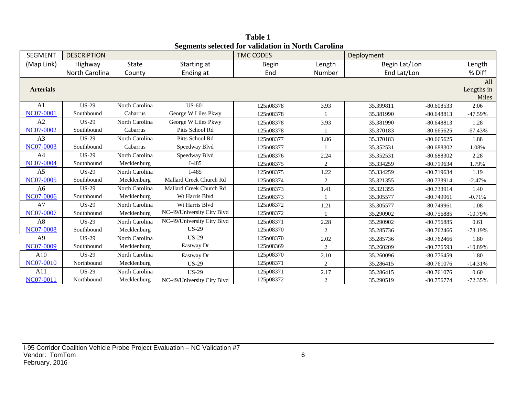| <b>SEGMENT</b>   | <b>DESCRIPTION</b> |                |                            | редикив эсксили тот уапланон нгтубин Сагонна<br><b>TMC CODES</b> |                | Deployment    |              |                            |
|------------------|--------------------|----------------|----------------------------|------------------------------------------------------------------|----------------|---------------|--------------|----------------------------|
| (Map Link)       | Highway            | State          | Starting at                | <b>Begin</b>                                                     | Length         | Begin Lat/Lon |              | Length                     |
|                  | North Carolina     | County         | Ending at                  | End                                                              | Number         | End Lat/Lon   |              | % Diff                     |
| <b>Arterials</b> |                    |                |                            |                                                                  |                |               |              | All<br>Lengths in<br>Miles |
| A <sub>1</sub>   | <b>US-29</b>       | North Carolina | <b>US-601</b>              | 125n08378                                                        | 3.93           | 35.399811     | $-80.608533$ | 2.06                       |
| <b>NC07-0001</b> | Southbound         | Cabarrus       | George W Liles Pkwy        | 125n08378                                                        |                | 35.381990     | $-80.648813$ | $-47.59%$                  |
| A2               | <b>US-29</b>       | North Carolina | George W Liles Pkwy        | 125n08378                                                        | 3.93           | 35.381990     | $-80.648813$ | 1.28                       |
| <b>NC07-0002</b> | Southbound         | Cabarrus       | Pitts School Rd            | 125n08378                                                        |                | 35.370183     | $-80.665625$ | $-67.43%$                  |
| A3               | <b>US-29</b>       | North Carolina | Pitts School Rd            | 125n08377                                                        | 1.86           | 35.370183     | $-80.665625$ | 1.88                       |
| NC07-0003        | Southbound         | Cabarrus       | Speedway Blvd              | 125n08377                                                        |                | 35.352531     | $-80.688302$ | 1.08%                      |
| A4               | <b>US-29</b>       | North Carolina | Speedway Blvd              | 125n08376                                                        | 2.24           | 35.352531     | $-80.688302$ | 2.28                       |
| NC07-0004        | Southbound         | Mecklenburg    | $I-485$                    | 125n08375                                                        | 2              | 35.334259     | $-80.719634$ | 1.79%                      |
| A <sub>5</sub>   | $US-29$            | North Carolina | $I-485$                    | 125n08375                                                        | 1.22           | 35.334259     | $-80.719634$ | 1.19                       |
| NC07-0005        | Southbound         | Mecklenburg    | Mallard Creek Church Rd    | 125n08374                                                        | $\overline{c}$ | 35.321355     | -80.733914   | $-2.47%$                   |
| A <sub>6</sub>   | <b>US-29</b>       | North Carolina | Mallard Creek Church Rd    | 125n08373                                                        | 1.41           | 35.321355     | $-80.733914$ | 1.40                       |
| NC07-0006        | Southbound         | Mecklenburg    | Wt Harris Blvd             | 125n08373                                                        |                | 35.305577     | $-80.749961$ | $-0.71%$                   |
| A7               | <b>US-29</b>       | North Carolina | Wt Harris Blvd             | 125n08372                                                        | 1.21           | 35.305577     | $-80.749961$ | 1.08                       |
| NC07-0007        | Southbound         | Mecklenburg    | NC-49/University City Blvd | 125n08372                                                        |                | 35.290902     | $-80.756885$ | $-10.79%$                  |
| A8               | <b>US-29</b>       | North Carolina | NC-49/University City Blvd | 125n08371                                                        | 2.28           | 35.290902     | $-80.756885$ | 0.61                       |
| <b>NC07-0008</b> | Southbound         | Mecklenburg    | $US-29$                    | 125n08370                                                        | $\overline{2}$ | 35.285736     | $-80.762466$ | $-73.19%$                  |
| A <sub>9</sub>   | <b>US-29</b>       | North Carolina | $US-29$                    | 125n08370                                                        | 2.02           | 35.285736     | $-80.762466$ | 1.80                       |
| NC07-0009        | Southbound         | Mecklenburg    | Eastway Dr                 | 125n08369                                                        | 2              | 35.260209     | $-80.776593$ | $-10.89%$                  |
| A10              | <b>US-29</b>       | North Carolina | Eastway Dr                 | 125p08370                                                        | 2.10           | 35.260096     | $-80.776459$ | 1.80                       |
| NC07-0010        | Northbound         | Mecklenburg    | <b>US-29</b>               | 125p08371                                                        | 2              | 35.286415     | $-80.761076$ | $-14.31%$                  |
| A11              | <b>US-29</b>       | North Carolina | <b>US-29</b>               | 125p08371                                                        | 2.17           | 35.286415     | $-80.761076$ | 0.60                       |
| NC07-0011        | Northbound         | Mecklenburg    | NC-49/University City Blvd | 125p08372                                                        | 2              | 35.290519     | $-80.756774$ | $-72.35%$                  |

**Table 1 Segments selected for validation in North Carolina**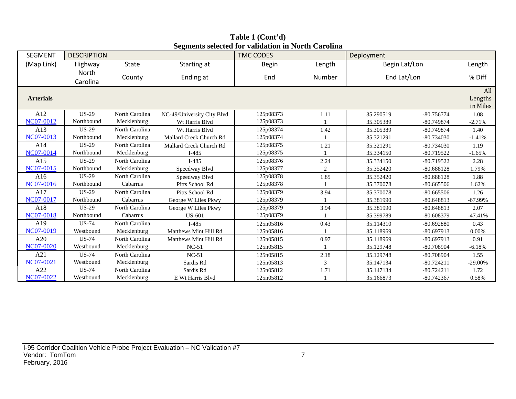| <b>SEGMENT</b>   | <b>DESCRIPTION</b> |                |                            | beginents selected for vandation in For th Carolina<br><b>TMC CODES</b> |                            | Deployment    |              |            |
|------------------|--------------------|----------------|----------------------------|-------------------------------------------------------------------------|----------------------------|---------------|--------------|------------|
| (Map Link)       | Highway            | <b>State</b>   | Starting at                | <b>Begin</b>                                                            | Length                     | Begin Lat/Lon |              | Length     |
|                  | North<br>Carolina  | County         | Ending at                  | End                                                                     | Number                     | End Lat/Lon   |              | % Diff     |
| <b>Arterials</b> |                    |                |                            |                                                                         | All<br>Lengths<br>in Miles |               |              |            |
| A12              | <b>US-29</b>       | North Carolina | NC-49/University City Blvd | 125p08373                                                               | 1.11                       | 35.290519     | $-80.756774$ | 1.08       |
| NC07-0012        | Northbound         | Mecklenburg    | Wt Harris Blvd             | 125p08373                                                               |                            | 35.305389     | $-80.749874$ | $-2.71%$   |
| A13              | $US-29$            | North Carolina | Wt Harris Blvd             | 125p08374                                                               | 1.42                       | 35.305389     | $-80.749874$ | 1.40       |
| NC07-0013        | Northbound         | Mecklenburg    | Mallard Creek Church Rd    | 125p08374                                                               |                            | 35.321291     | $-80.734030$ | $-1.41%$   |
| A14              | $US-29$            | North Carolina | Mallard Creek Church Rd    | 125p08375                                                               | 1.21                       | 35.321291     | $-80.734030$ | 1.19       |
| NC07-0014        | Northbound         | Mecklenburg    | $I-485$                    | 125p08375                                                               |                            | 35.334150     | $-80.719522$ | $-1.65%$   |
| A15              | $US-29$            | North Carolina | $I-485$                    | 125p08376                                                               | 2.24                       | 35.334150     | $-80.719522$ | 2.28       |
| NC07-0015        | Northbound         | Mecklenburg    | Speedway Blvd              | 125p08377                                                               | $\overline{2}$             | 35.352420     | $-80.688128$ | 1.79%      |
| A16              | $US-29$            | North Carolina | Speedway Blvd              | 125p08378                                                               | 1.85                       | 35.352420     | $-80.688128$ | 1.88       |
| <b>NC07-0016</b> | Northbound         | Cabarrus       | Pitts School Rd            | 125p08378                                                               |                            | 35.370078     | $-80.665506$ | 1.62%      |
| A17              | $US-29$            | North Carolina | Pitts School Rd            | 125p08379                                                               | 3.94                       | 35.370078     | $-80.665506$ | 1.26       |
| <b>NC07-0017</b> | Northbound         | Cabarrus       | George W Liles Pkwy        | 125p08379                                                               |                            | 35.381990     | $-80.648813$ | $-67.99\%$ |
| A18              | $US-29$            | North Carolina | George W Liles Pkwy        | 125p08379                                                               | 3.94                       | 35.381990     | $-80.648813$ | 2.07       |
| <b>NC07-0018</b> | Northbound         | Cabarrus       | <b>US-601</b>              | 125p08379                                                               |                            | 35.399789     | $-80.608379$ | $-47.41%$  |
| A19              | $US-74$            | North Carolina | $I-485$                    | 125n05816                                                               | 0.43                       | 35.114310     | $-80.692880$ | 0.43       |
| NC07-0019        | Westbound          | Mecklenburg    | Matthews Mint Hill Rd      | 125n05816                                                               |                            | 35.118969     | $-80.697913$ | 0.00%      |
| A20              | $US-74$            | North Carolina | Matthews Mint Hill Rd      | 125n05815                                                               | 0.97                       | 35.118969     | $-80.697913$ | 0.91       |
| <b>NC07-0020</b> | Westbound          | Mecklenburg    | $NC-51$                    | 125n05815                                                               |                            | 35.129748     | -80.708904   | $-6.18%$   |
| A21              | $US-74$            | North Carolina | $NC-51$                    | 125n05815                                                               | 2.18                       | 35.129748     | -80.708904   | 1.55       |
| NC07-0021        | Westbound          | Mecklenburg    | Sardis Rd                  | 125n05813                                                               | 3                          | 35.147134     | $-80.724211$ | $-29.00\%$ |
| A22              | <b>US-74</b>       | North Carolina | Sardis Rd                  | 125n05812                                                               | 1.71                       | 35.147134     | $-80.724211$ | 1.72       |
| <b>NC07-0022</b> | Westbound          | Mecklenburg    | E Wt Harris Blvd           | 125n05812                                                               |                            | 35.166873     | $-80.742367$ | 0.58%      |

**Table 1 (Cont'd) Segments selected for validation in North Carolina**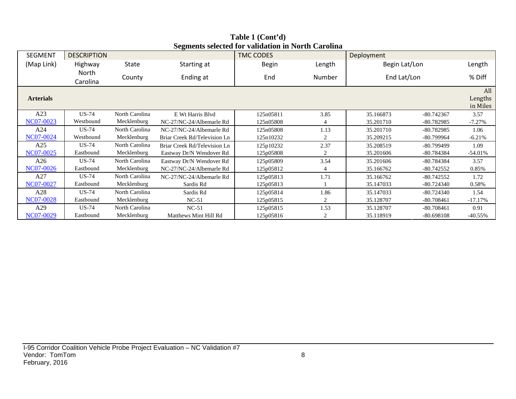| <b>SEGMENT</b>   | <b>DESCRIPTION</b> |                        |                              | <b>TMC CODES</b> |                | Deployment              |              |           |  |  |
|------------------|--------------------|------------------------|------------------------------|------------------|----------------|-------------------------|--------------|-----------|--|--|
| (Map Link)       | Highway            | State                  | Starting at                  | <b>Begin</b>     | Length         | Begin Lat/Lon           |              | Length    |  |  |
|                  | North<br>Carolina  | County                 | Ending at                    | End              | Number         | End Lat/Lon             |              | % Diff    |  |  |
| <b>Arterials</b> |                    |                        |                              |                  |                |                         |              |           |  |  |
| A23              | <b>US-74</b>       | North Carolina         | E Wt Harris Blvd             | 125n05811        | 3.85           | 35.166873               | $-80.742367$ | 3.57      |  |  |
| NC07-0023        | Westbound          | Mecklenburg            | NC-27/NC-24/Albemarle Rd     | 125n05808        | 4              | 35.201710               | $-80.782985$ | $-7.27%$  |  |  |
| A24              | <b>US-74</b>       | North Carolina         | NC-27/NC-24/Albemarle Rd     | 125n05808        | 1.13           | 35.201710               | $-80.782985$ | 1.06      |  |  |
| NC07-0024        | Westbound          | Mecklenburg            | Briar Creek Rd/Television Ln | 125n10232        | $\overline{c}$ | 35.209215<br>-80.799964 |              | $-6.21%$  |  |  |
| A25              | <b>US-74</b>       | North Carolina         | Briar Creek Rd/Television Ln | 125p10232        | 2.37           | 35.208519               | -80.799499   | 1.09      |  |  |
| NC07-0025        | Eastbound          | Mecklenburg            | Eastway Dr/N Wendover Rd     | 125p05808        | 2              | 35.201606               | -80.784384   | $-54.01%$ |  |  |
| A26              | <b>US-74</b>       | North Carolina         | Eastway Dr/N Wendover Rd     | 125p05809        | 3.54           | 35.201606               | -80.784384   | 3.57      |  |  |
| NC07-0026        | Eastbound          | Mecklenburg            | NC-27/NC-24/Albemarle Rd     | 125p05812        | 4              | 35.166762               | $-80.742552$ | 0.85%     |  |  |
| A27              | <b>US-74</b>       | North Carolina         | NC-27/NC-24/Albemarle Rd     | 125p05813        | 1.71           | 35.166762               | $-80.742552$ | 1.72      |  |  |
| NC07-0027        | Eastbound          | Mecklenburg            | Sardis Rd                    | 125p05813        |                | 35.147033               | $-80.724340$ | 0.58%     |  |  |
| A28              | <b>US-74</b>       | North Carolina         | Sardis Rd                    | 125p05814        | 1.86           | 35.147033               | $-80.724340$ | 1.54      |  |  |
| NC07-0028        | Eastbound          | Mecklenburg<br>$NC-51$ |                              | 125p05815        | 2              | 35.128707               | $-80.708461$ | $-17.17%$ |  |  |
| A29              | <b>US-74</b>       | North Carolina         | $NC-51$                      | 125p05815        | 1.53           | 35.128707               | $-80.708461$ | 0.91      |  |  |
| NC07-0029        | Eastbound          | Mecklenburg            | Matthews Mint Hill Rd        | 125p05816        | 2              | 35.118919               | $-80.698108$ | $-40.55%$ |  |  |

**Table 1 (Cont'd) Segments selected for validation in North Carolina**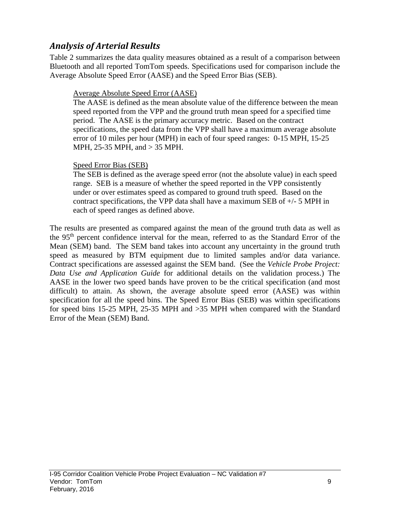## *Analysis of Arterial Results*

Table 2 summarizes the data quality measures obtained as a result of a comparison between Bluetooth and all reported TomTom speeds. Specifications used for comparison include the Average Absolute Speed Error (AASE) and the Speed Error Bias (SEB).

### Average Absolute Speed Error (AASE)

The AASE is defined as the mean absolute value of the difference between the mean speed reported from the VPP and the ground truth mean speed for a specified time period. The AASE is the primary accuracy metric. Based on the contract specifications, the speed data from the VPP shall have a maximum average absolute error of 10 miles per hour (MPH) in each of four speed ranges: 0-15 MPH, 15-25 MPH, 25-35 MPH, and > 35 MPH.

#### Speed Error Bias (SEB)

The SEB is defined as the average speed error (not the absolute value) in each speed range. SEB is a measure of whether the speed reported in the VPP consistently under or over estimates speed as compared to ground truth speed. Based on the contract specifications, the VPP data shall have a maximum SEB of +/- 5 MPH in each of speed ranges as defined above.

The results are presented as compared against the mean of the ground truth data as well as the 95th percent confidence interval for the mean, referred to as the Standard Error of the Mean (SEM) band. The SEM band takes into account any uncertainty in the ground truth speed as measured by BTM equipment due to limited samples and/or data variance. Contract specifications are assessed against the SEM band. (See the *Vehicle Probe Project: Data Use and Application Guide* for additional details on the validation process.) The AASE in the lower two speed bands have proven to be the critical specification (and most difficult) to attain. As shown, the average absolute speed error (AASE) was within specification for all the speed bins. The Speed Error Bias (SEB) was within specifications for speed bins 15-25 MPH, 25-35 MPH and >35 MPH when compared with the Standard Error of the Mean (SEM) Band.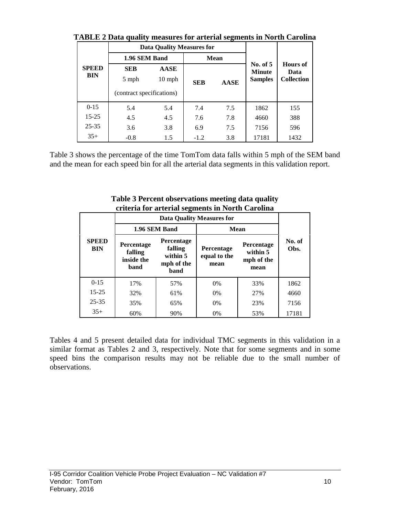|                            |                                                                             | <b>Data Quality Measures for</b> |            |             |            |                                              |  |
|----------------------------|-----------------------------------------------------------------------------|----------------------------------|------------|-------------|------------|----------------------------------------------|--|
|                            | 1.96 SEM Band                                                               |                                  |            | <b>Mean</b> | No. of $5$ |                                              |  |
| <b>SPEED</b><br><b>BIN</b> | <b>AASE</b><br><b>SEB</b><br>5 mph<br>$10$ mph<br>(contract specifications) |                                  | <b>SEB</b> | <b>AASE</b> |            | <b>Hours</b> of<br>Data<br><b>Collection</b> |  |
| $0 - 15$                   | 5.4                                                                         | 5.4                              | 7.4        | 7.5         | 1862       | 155                                          |  |
| $15 - 25$                  | 4.5                                                                         | 4.5                              | 7.6        | 7.8         | 4660       | 388                                          |  |
| $25 - 35$                  | 3.6                                                                         | 3.8                              | 6.9        | 7.5         | 7156       | 596                                          |  |
| $35+$                      | $-0.8$                                                                      | 1.5                              | $-1.2$     | 3.8         | 17181      | 1432                                         |  |

**TABLE 2 Data quality measures for arterial segments in North Carolina**

Table 3 shows the percentage of the time TomTom data falls within 5 mph of the SEM band and the mean for each speed bin for all the arterial data segments in this validation report.

|                            |                                             |                                                                | eriteria for arterial seguients in fortur Carolina |                                                     |                |  |  |
|----------------------------|---------------------------------------------|----------------------------------------------------------------|----------------------------------------------------|-----------------------------------------------------|----------------|--|--|
|                            |                                             |                                                                | <b>Data Quality Measures for</b>                   |                                                     |                |  |  |
|                            |                                             | 1.96 SEM Band                                                  |                                                    | Mean                                                |                |  |  |
| <b>SPEED</b><br><b>BIN</b> | Percentage<br>falling<br>inside the<br>band | <b>Percentage</b><br>falling<br>within 5<br>mph of the<br>band | Percentage<br>equal to the<br>mean                 | <b>Percentage</b><br>within 5<br>mph of the<br>mean | No. of<br>Obs. |  |  |
| $0 - 15$                   | 17%                                         | 57%                                                            | $0\%$                                              | 33%                                                 | 1862           |  |  |
| $15 - 25$                  | 32%                                         | 61%                                                            | $0\%$                                              | 27%                                                 | 4660           |  |  |
| $25 - 35$                  | 35%                                         | 65%                                                            | $0\%$                                              | 23%                                                 | 7156           |  |  |
| $35+$                      | 60%                                         | 90%                                                            | 0%                                                 | 53%                                                 | 17181          |  |  |

**Table 3 Percent observations meeting data quality criteria for arterial segments in North Carolina**

Tables 4 and 5 present detailed data for individual TMC segments in this validation in a similar format as Tables 2 and 3, respectively. Note that for some segments and in some speed bins the comparison results may not be reliable due to the small number of observations.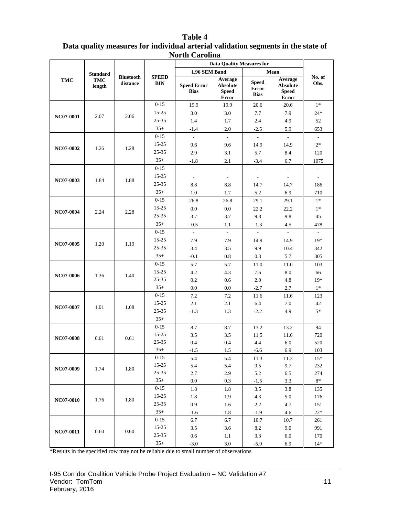|                  | <b>Data Quality Measures for</b>        |                              |                            |                                   |                                                     |                                             |                                                            |                          |
|------------------|-----------------------------------------|------------------------------|----------------------------|-----------------------------------|-----------------------------------------------------|---------------------------------------------|------------------------------------------------------------|--------------------------|
|                  |                                         |                              |                            | 1.96 SEM Band                     |                                                     |                                             | Mean                                                       |                          |
| <b>TMC</b>       | <b>Standard</b><br><b>TMC</b><br>length | <b>Bluetooth</b><br>distance | <b>SPEED</b><br><b>BIN</b> | <b>Speed Error</b><br><b>Bias</b> | Average<br><b>Absolute</b><br><b>Speed</b><br>Error | <b>Speed</b><br><b>Error</b><br><b>Bias</b> | Average<br><b>Absolute</b><br><b>Speed</b><br><b>Error</b> | No. of<br>Obs.           |
|                  |                                         |                              | $0 - 15$                   | 19.9                              | 19.9                                                | 20.6                                        | 20.6                                                       | $1*$                     |
|                  |                                         |                              | $15 - 25$                  | 3.0                               | 3.0                                                 | 7.7                                         | 7.9                                                        | $24*$                    |
| NC07-0001        | 2.07                                    | 2.06                         | $25 - 35$                  | 1.4                               | 1.7                                                 | 2.4                                         | 4.9                                                        | 52                       |
|                  |                                         |                              | $35+$                      | $-1.4$                            | 2.0                                                 | $-2.5$                                      | 5.9                                                        | 653                      |
|                  |                                         |                              | $0 - 15$                   | $\omega$                          | $\mathcal{L}_{\mathcal{A}}$                         | $\omega$                                    | $\omega$                                                   | $\mathcal{L}$            |
|                  |                                         |                              | $15 - 25$                  | 9.6                               | 9.6                                                 | 14.9                                        | 14.9                                                       | $2*$                     |
| NC07-0002        | 1.26                                    | 1.28                         | 25-35                      | 2.9                               | 3.1                                                 | 5.7                                         | 8.4                                                        | 120                      |
|                  |                                         |                              | $35+$                      | $-1.8$                            | 2.1                                                 | $-3.4$                                      | 6.7                                                        | 1075                     |
|                  |                                         |                              | $0 - 15$                   | $\blacksquare$                    | $\overline{\phantom{a}}$                            | $\overline{\phantom{a}}$                    | $\overline{\phantom{a}}$                                   | $\overline{\phantom{a}}$ |
|                  |                                         |                              | $15 - 25$                  | $\overline{\phantom{a}}$          | $\overline{\phantom{a}}$                            | $\overline{\phantom{a}}$                    | $\overline{\phantom{a}}$                                   | $\overline{\phantom{a}}$ |
| NC07-0003        | 1.84                                    | 1.88                         | 25-35                      | 8.8                               | 8.8                                                 | 14.7                                        | 14.7                                                       | 186                      |
|                  |                                         |                              | $35+$                      | 1.0                               | 1.7                                                 | 5.2                                         | 6.9                                                        | 710                      |
|                  |                                         |                              | $0 - 15$                   | 26.8                              | 26.8                                                | 29.1                                        | 29.1                                                       | $1*$                     |
|                  |                                         |                              | 15-25                      | 0.0                               | 0.0                                                 | 22.2                                        | 22.2                                                       | $1*$                     |
| <b>NC07-0004</b> | 2.24                                    | 2.28                         | 25-35                      | 3.7                               | 3.7                                                 | 9.8                                         | 9.8                                                        | 45                       |
|                  |                                         |                              | $35+$                      | $-0.5$                            | 1.1                                                 | $-1.3$                                      | 4.5                                                        | 478                      |
|                  |                                         |                              | $0 - 15$                   | $\mathbb{L}^+$                    | $\mathcal{L}_{\mathcal{A}}$                         | $\mathbb{Z}^2$                              | $\omega$                                                   | $\overline{\phantom{0}}$ |
|                  |                                         |                              | $15 - 25$                  | 7.9                               | 7.9                                                 | 14.9                                        | 14.9                                                       | $19*$                    |
| NC07-0005        | 1.20                                    | 1.19                         | $25 - 35$                  | 3.4                               | 3.5                                                 | 9.9                                         | 10.4                                                       | 342                      |
|                  |                                         |                              | $35+$                      | $-0.1$                            | 0.8                                                 | 0.3                                         | 5.7                                                        | 305                      |
|                  |                                         |                              | $0 - 15$                   | 5.7                               | 5.7                                                 | 11.0                                        | 11.0                                                       | 103                      |
|                  |                                         |                              | $15 - 25$                  | 4.2                               | 4.3                                                 | 7.6                                         | 8.0                                                        | 66                       |
| <b>NC07-0006</b> | 1.36                                    | 1.40                         | $25 - 35$                  | 0.2                               | 0.6                                                 | 2.0                                         | 4.8                                                        | $19*$                    |
|                  |                                         |                              | $35+$                      | 0.0                               | 0.0                                                 | $-2.7$                                      | 2.7                                                        | $1^\ast$                 |
|                  |                                         |                              | $0 - 15$                   | 7.2                               | 7.2                                                 | 11.6                                        | 11.6                                                       | 123                      |
| NC07-0007        | 1.01                                    | 1.08                         | $15 - 25$                  | 2.1                               | 2.1                                                 | 6.4                                         | 7.0                                                        | 42                       |
|                  |                                         |                              | $25 - 35$                  | $-1.3$                            | 1.3                                                 | $-2.2$                                      | 4.9                                                        | $5*$                     |
|                  |                                         |                              | $35+$                      | $\sim$                            | $\sim$                                              | $\omega$ .                                  | $\sim$                                                     | $\blacksquare$           |
|                  |                                         |                              | $0 - 15$                   | 8.7                               | 8.7                                                 | 13.2                                        | 13.2                                                       | 94                       |
| <b>NC07-0008</b> | 0.61                                    | 0.61                         | $15 - 25$                  | 3.5                               | 3.5                                                 | 11.5                                        | 11.6                                                       | 720                      |
|                  |                                         |                              | $25 - 35$                  | 0.4                               | 0.4                                                 | 4.4                                         | 6.0                                                        | 520                      |
|                  |                                         |                              | $35+$                      | $-1.5$                            | $1.5\,$                                             | $-6.6$                                      | 6.9                                                        | 103                      |
|                  |                                         |                              | $0-15$                     | 5.4                               | 5.4                                                 | 11.3                                        | 11.3                                                       | $15*$                    |
| NC07-0009        | 1.74                                    | 1.80                         | $15 - 25$                  | 5.4                               | 5.4                                                 | 9.5                                         | 9.7                                                        | 232                      |
|                  |                                         |                              | $25 - 35$                  | 2.7                               | 2.9                                                 | 5.2                                         | 6.5                                                        | 274                      |
|                  |                                         |                              | $35+$                      | 0.0                               | 0.3                                                 | $-1.5$                                      | 3.3                                                        | $8\ast$                  |
|                  |                                         |                              | $0 - 15$                   | 1.8                               | 1.8                                                 | 3.5                                         | 3.8                                                        | 135                      |
| <b>NC07-0010</b> | 1.76                                    | 1.80                         | $15 - 25$                  | 1.8                               | 1.9                                                 | 4.3                                         | 5.0                                                        | 176                      |
|                  |                                         |                              | $25 - 35$                  | 0.9                               | 1.6                                                 | 2.2                                         | 4.7                                                        | 151                      |
|                  |                                         |                              | $35+$                      | $-1.6$                            | 1.8                                                 | $-1.9$                                      | 4.6                                                        | $22*$                    |
|                  |                                         |                              | $0 - 15$                   | 6.7                               | 6.7                                                 | 10.7                                        | 10.7                                                       | 261                      |
| NC07-0011        | 0.60                                    | 0.60                         | $15 - 25$                  | $3.5\,$                           | 3.6                                                 | 8.2                                         | 9.0                                                        | 991                      |
|                  |                                         |                              | $25 - 35$                  | 0.6                               | 1.1                                                 | 3.3                                         | 6.0                                                        | 170                      |
|                  |                                         |                              | $35+$                      | $-3.0$                            | $3.0\,$                                             | $-5.9$                                      | 6.9                                                        | $14*$                    |

**Table 4 Data quality measures for individual arterial validation segments in the state of North Carolina**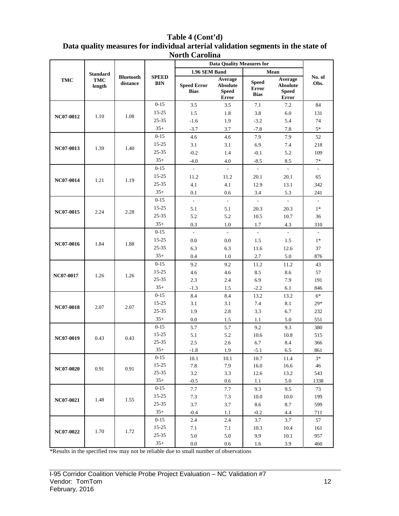| Table 4 (Cont'd)                                                                  |
|-----------------------------------------------------------------------------------|
| Data quality measures for individual arterial validation segments in the state of |
| <b>North Carolina</b>                                                             |

|                  |                 |                              |                            |                                   | <b>Data Quality Measures for</b>                    |                                                                                                                                                                                           |                                                     |                             |                          |
|------------------|-----------------|------------------------------|----------------------------|-----------------------------------|-----------------------------------------------------|-------------------------------------------------------------------------------------------------------------------------------------------------------------------------------------------|-----------------------------------------------------|-----------------------------|--------------------------|
|                  | <b>Standard</b> |                              |                            | 1.96 SEM Band                     |                                                     |                                                                                                                                                                                           | Mean                                                |                             |                          |
| <b>TMC</b>       | TMC<br>length   | <b>Bluetooth</b><br>distance | <b>SPEED</b><br><b>BIN</b> | <b>Speed Error</b><br><b>Bias</b> | Average<br><b>Absolute</b><br><b>Speed</b><br>Error | <b>Speed</b><br><b>Error</b><br><b>Bias</b>                                                                                                                                               | Average<br><b>Absolute</b><br><b>Speed</b><br>Error | No. of<br>Obs.              |                          |
|                  |                 |                              | $0 - 15$                   | 3.5                               | 3.5                                                 | 7.1                                                                                                                                                                                       | 7.2                                                 | 84                          |                          |
|                  |                 |                              | $15 - 25$                  | 1.5                               | 1.8                                                 | 3.8                                                                                                                                                                                       | 6.0                                                 | 131                         |                          |
| NC07-0012        | 1.10            | 1.08                         | 25-35                      | $-1.6$                            | 1.9                                                 | $-3.2$                                                                                                                                                                                    | 5.4                                                 | 74                          |                          |
|                  |                 |                              | $35+$                      | $-3.7$                            | 3.7                                                 | $-7.8$                                                                                                                                                                                    | 7.8                                                 | $5*$                        |                          |
|                  |                 |                              | $0 - 15$                   | 4.6                               | 4.6                                                 | 7.9                                                                                                                                                                                       | 7.9                                                 | 52                          |                          |
|                  | 1.39            |                              | $15 - 25$                  | 3.1                               | 3.1                                                 |                                                                                                                                                                                           | 7.4                                                 | 218                         |                          |
| NC07-0013        |                 | 1.40                         | 25-35                      | $-0.2$                            | 1.4                                                 | $-0.1$                                                                                                                                                                                    | 5.2                                                 | 109                         |                          |
|                  |                 |                              | $35+$                      | $-4.0$                            | 4.0                                                 | 6.9<br>$-8.5$<br>ä,<br>20.1<br>12.9<br>3.4<br>$\omega$<br>20.3<br>10.5<br>1.7<br>$\overline{a}$<br>1.5<br>11.6<br>2.7<br>11.2<br>8.5<br>6.9<br>$-2.2$<br>13.2<br>7.4<br>3.3<br>1.1<br>9.2 | 8.5                                                 | $7*$                        |                          |
|                  |                 |                              | $0 - 15$                   | $\overline{\phantom{a}}$          | ÷.                                                  |                                                                                                                                                                                           | $\omega$                                            | $\mathcal{L}_{\mathcal{A}}$ |                          |
|                  |                 |                              | $15 - 25$                  | 11.2                              | 11.2                                                |                                                                                                                                                                                           | 20.1                                                | 65                          |                          |
| <b>NC07-0014</b> | 1.21            | 1.19                         | $25 - 35$                  | 4.1                               | 4.1                                                 |                                                                                                                                                                                           | 13.1                                                | 342                         |                          |
|                  |                 |                              | $35+$                      | 0.1                               | 0.6                                                 |                                                                                                                                                                                           | 5.3                                                 | 241                         |                          |
|                  |                 |                              |                            | $0 - 15$                          | $\overline{a}$                                      | $\mathbb{L}$                                                                                                                                                                              |                                                     | $\sim$                      | $\overline{\phantom{a}}$ |
|                  |                 |                              | $15 - 25$                  | 5.1                               | 5.1                                                 |                                                                                                                                                                                           | 20.3                                                | $1*$                        |                          |
| NC07-0015        | 2.24            | 2.28                         | 25-35                      | 5.2                               | 5.2                                                 |                                                                                                                                                                                           | 10.7                                                | 36                          |                          |
|                  |                 |                              | $35+$                      | 0.3                               | $1.0\,$                                             |                                                                                                                                                                                           | 4.3                                                 | 310                         |                          |
|                  |                 |                              | $0 - 15$                   | L.                                | $\overline{a}$                                      |                                                                                                                                                                                           | $\mathcal{L}^{\mathcal{L}}$                         | $\sim$                      |                          |
| NC07-0016        |                 |                              | $15 - 25$                  | 0.0                               | 0.0                                                 |                                                                                                                                                                                           | 1.5                                                 | $1*$                        |                          |
|                  | 1.84            | 1.88                         | 25-35                      | 6.3                               | 6.3                                                 |                                                                                                                                                                                           | 12.6                                                | 37                          |                          |
|                  |                 |                              | $35+$                      | 0.4                               | 1.0                                                 |                                                                                                                                                                                           | 5.0                                                 | 876                         |                          |
|                  |                 |                              | $0 - 15$                   | 9.2                               | 9.2                                                 |                                                                                                                                                                                           | 11.2                                                | 43                          |                          |
|                  |                 |                              | $15 - 25$                  | 4.6                               | 4.6                                                 |                                                                                                                                                                                           | 8.6                                                 | 57                          |                          |
| NC07-0017        | 1.26            |                              | 1.26                       | 25-35                             | 2.3                                                 | 2.4                                                                                                                                                                                       |                                                     | 7.9                         | 191                      |
|                  |                 |                              |                            | $35+$                             | $-1.3$                                              | 1.5                                                                                                                                                                                       |                                                     | 6.1                         | 846                      |
|                  |                 |                              | $0 - 15$                   | 8.4                               | 8.4                                                 |                                                                                                                                                                                           | 13.2                                                | $6*$                        |                          |
|                  |                 |                              | $15 - 25$                  | 3.1                               | 3.1                                                 |                                                                                                                                                                                           | 8.1                                                 | $29*$                       |                          |
| <b>NC07-0018</b> | 2.07            | 2.07                         | 25-35                      | 1.9                               | 2.8                                                 |                                                                                                                                                                                           | 6.7                                                 | 232                         |                          |
|                  |                 |                              | $35+$                      | 0.0                               | 1.5                                                 |                                                                                                                                                                                           | 5.0                                                 | 551                         |                          |
|                  |                 |                              | $0 - 15$                   |                                   |                                                     |                                                                                                                                                                                           |                                                     |                             |                          |
|                  |                 |                              | $15 - 25$                  | 5.7<br>5.1                        | 5.7<br>5.2                                          | 10.6                                                                                                                                                                                      | 9.3<br>10.8                                         | 380<br>515                  |                          |
| NC07-0019        | 0.43            | 0.43                         | 25-35                      | 2.5                               | 2.6                                                 | 6.7                                                                                                                                                                                       | 8.4                                                 | 366                         |                          |
|                  |                 |                              | $35+$                      | $-1.8$                            | 1.9                                                 | $-5.1$                                                                                                                                                                                    | 6.5                                                 | 861                         |                          |
|                  |                 |                              | $0 - 15$                   | 10.1                              | 10.1                                                | 10.7                                                                                                                                                                                      | 11.4                                                | $3*$                        |                          |
|                  |                 |                              | $15 - 25$                  | 7.8                               | 7.9                                                 | 16.0                                                                                                                                                                                      | 16.6                                                | 46                          |                          |
| NC07-0020        | 0.91            | 0.91                         | $25 - 35$                  | 3.2                               | 3.3                                                 | 12.6                                                                                                                                                                                      | 13.2                                                | 543                         |                          |
|                  |                 |                              | $35+$                      | $-0.5$                            | 0.6                                                 | 1.1                                                                                                                                                                                       | 5.0                                                 | 1338                        |                          |
|                  |                 |                              | $0-15$                     | 7.7                               | 7.7                                                 | 9.3                                                                                                                                                                                       | 9.5                                                 | 73                          |                          |
| NC07-0021        |                 |                              | $15 - 25$                  | 7.3                               | 7.3                                                 | 10.0                                                                                                                                                                                      | 10.0                                                | 199                         |                          |
|                  | 1.48            | 1.55                         | $25 - 35$                  | 3.7                               | 3.7                                                 | 8.6                                                                                                                                                                                       | 8.7                                                 | 599                         |                          |
|                  |                 |                              | $35+$                      | $-0.4$                            | 1.1                                                 | $-0.2$                                                                                                                                                                                    | 4.4                                                 | 711                         |                          |
|                  |                 |                              | $0 - 15$                   | 2.4                               | 2.4                                                 | 3.7                                                                                                                                                                                       | 3.7                                                 | 57                          |                          |
|                  |                 |                              | $15 - 25$                  | 7.1                               | 7.1                                                 | 10.3                                                                                                                                                                                      | 10.4                                                | 161                         |                          |
| NC07-0022        | 1.70            | 1.72                         | $25 - 35$                  | 5.0                               | 5.0                                                 | 9.9                                                                                                                                                                                       | 10.1                                                | 957                         |                          |
|                  |                 |                              | $35+$                      | 0.0                               | 0.6                                                 | 1.6                                                                                                                                                                                       | 3.9                                                 | 460                         |                          |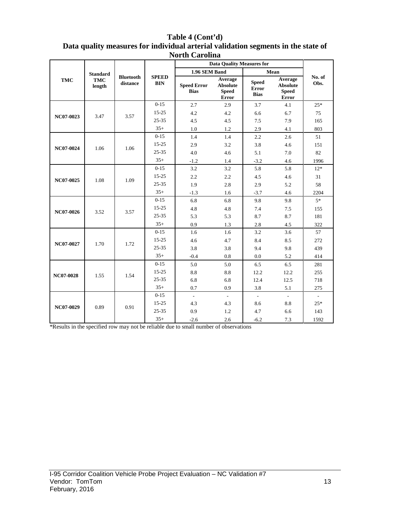|            |                      |                              |                            | <b>North Carolina</b>             |                                                     |                                             |                                                     |                             |
|------------|----------------------|------------------------------|----------------------------|-----------------------------------|-----------------------------------------------------|---------------------------------------------|-----------------------------------------------------|-----------------------------|
|            |                      |                              |                            |                                   | <b>Data Quality Measures for</b>                    |                                             |                                                     |                             |
|            | <b>Standard</b>      |                              |                            | 1.96 SEM Band                     |                                                     |                                             | Mean                                                |                             |
| <b>TMC</b> | <b>TMC</b><br>length | <b>Bluetooth</b><br>distance | <b>SPEED</b><br><b>BIN</b> | <b>Speed Error</b><br><b>Bias</b> | Average<br><b>Absolute</b><br><b>Speed</b><br>Error | <b>Speed</b><br><b>Error</b><br><b>Bias</b> | Average<br><b>Absolute</b><br><b>Speed</b><br>Error | No. of<br>Obs.              |
|            |                      |                              | $0-15$                     | 2.7                               | 2.9                                                 | 3.7                                         | 4.1                                                 | $25*$                       |
|            | 3.47                 | 3.57                         | $15 - 25$                  | 4.2                               | 4.2                                                 | 6.6                                         | 6.7                                                 | 75                          |
| NC07-0023  |                      |                              | $25 - 35$                  | 4.5                               | 4.5                                                 | 7.5                                         | 7.9                                                 | 165                         |
|            |                      |                              | $35+$                      | 1.0                               | 1.2                                                 | 2.9                                         | 4.1                                                 | 803                         |
|            |                      |                              | $0 - 15$                   | 1.4                               | 1.4                                                 | 2.2                                         | 2.6                                                 | 51                          |
| NC07-0024  | 1.06                 | 1.06                         | $15 - 25$                  | 2.9                               | 3.2                                                 | 3.8                                         | 4.6                                                 | 151                         |
|            |                      |                              | $25 - 35$                  | 4.0                               | 4.6                                                 | 5.1                                         | 7.0                                                 | 82                          |
|            |                      |                              | $35+$                      | $-1.2$                            | 1.4                                                 | $-3.2$                                      | 4.6                                                 | 1996                        |
|            |                      |                              | $0-15$                     | 3.2                               | 3.2                                                 | 5.8                                         | 5.8                                                 | $12*$                       |
| NC07-0025  | 1.08                 | 1.09                         | $15 - 25$                  | 2.2                               | 2.2                                                 | 4.5                                         | 4.6                                                 | 31                          |
|            |                      |                              | $25 - 35$                  | 1.9                               | 2.8                                                 | 2.9                                         | 5.2<br>4.6                                          | 58                          |
|            |                      |                              | $35+$                      | $-1.3$                            | 1.6                                                 | $-3.7$                                      |                                                     | 2204                        |
|            |                      |                              | $0-15$                     | 6.8                               | 6.8                                                 | 9.8                                         | 9.8                                                 | $5*$                        |
| NC07-0026  | 3.52                 | 3.57                         | $15 - 25$                  | 4.8                               | 4.8                                                 | 7.4                                         | 7.5                                                 | 155                         |
|            |                      |                              | $25 - 35$                  | 5.3                               | 5.3                                                 | 8.7                                         | 8.7                                                 | 181                         |
|            |                      |                              | $35+$                      | 0.9                               | 1.3                                                 | 2.8                                         | 4.5                                                 | 322                         |
|            |                      |                              | $0-15$                     | 1.6                               | 1.6                                                 | 3.2                                         | 3.6                                                 | 57                          |
| NC07-0027  | 1.70                 | 1.72                         | $15 - 25$                  | 4.6                               | 4.7                                                 | 8.4                                         | 8.5                                                 | 272                         |
|            |                      |                              | $25 - 35$                  | 3.8                               | 3.8                                                 | 9.4                                         | 9.8                                                 | 439                         |
|            |                      |                              | $35+$                      | $-0.4$                            | 0.8                                                 | 0.0                                         | 5.2                                                 | 414                         |
|            |                      |                              | $0-15$                     | 5.0                               | 5.0                                                 | 6.5                                         | 6.5                                                 | 281                         |
|            | 1.55                 | 1.54                         | $15 - 25$                  | 8.8                               | 8.8                                                 | 12.2                                        | 12.2                                                | 255                         |
| NC07-0028  |                      |                              | $25 - 35$                  | 6.8                               | 6.8                                                 | 12.4                                        | 12.5                                                | 718                         |
|            |                      |                              | $35+$                      | 0.7                               | 0.9                                                 | 3.8                                         | 5.1                                                 | 275                         |
|            |                      |                              | $0 - 15$                   | $\overline{\phantom{a}}$          | $\blacksquare$                                      | $\overline{\phantom{a}}$                    | $\sim$                                              | $\mathcal{L}_{\mathcal{A}}$ |
| NC07-0029  | 0.89                 | 0.91                         | $15 - 25$                  | 4.3                               | 4.3                                                 | 8.6                                         | 8.8                                                 | $25*$                       |
|            |                      |                              | $25 - 35$                  | 0.9                               | 1.2                                                 | 4.7                                         | 6.6                                                 | 143                         |
|            |                      |                              | $35+$                      | $-2.6$                            | 2.6                                                 | $-6.2$                                      | 7.3                                                 | 1592                        |

# **Table 4 (Cont'd) Data quality measures for individual arterial validation segments in the state of**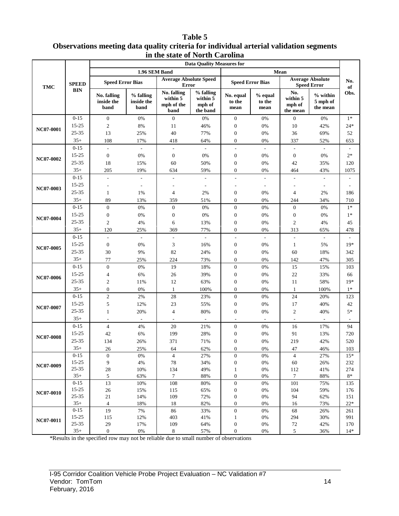#### **Table 5 Observations meeting data quality criteria for individual arterial validation segments in the state of North Carolina**

|                               |                |                                   |                                 | 111 VIIV DUUUV                                | <b>Data Quality Measures for</b>            |                                      |                           |                                       |                                               |                 |
|-------------------------------|----------------|-----------------------------------|---------------------------------|-----------------------------------------------|---------------------------------------------|--------------------------------------|---------------------------|---------------------------------------|-----------------------------------------------|-----------------|
|                               |                |                                   | 1.96 SEM Band                   |                                               |                                             |                                      |                           | Mean                                  |                                               |                 |
| <b>TMC</b>                    | <b>SPEED</b>   | <b>Speed Error Bias</b>           |                                 | <b>Average Absolute Speed</b><br><b>Error</b> |                                             | <b>Speed Error Bias</b>              |                           |                                       | <b>Average Absolute</b><br><b>Speed Error</b> | No.<br>of       |
|                               | <b>BIN</b>     | No. falling<br>inside the<br>band | % falling<br>inside the<br>band | No. falling<br>within 5<br>mph of the<br>band | % falling<br>within 5<br>mph of<br>the band | No. equal<br>to the<br>mean          | % equal<br>to the<br>mean | No.<br>within 5<br>mph of<br>the mean | $%$ within<br>5 mph of<br>the mean            | Obs.            |
| <b>NC07-0001</b>              | $0 - 15$       | $\mathbf{0}$                      | 0%                              | $\mathbf{0}$                                  | 0%                                          | $\boldsymbol{0}$                     | 0%                        | $\boldsymbol{0}$                      | $0\%$                                         | $1*$            |
|                               | 15-25          | $\mathfrak{2}$                    | $8\%$                           | 11                                            | 46%                                         | $\boldsymbol{0}$                     | 0%                        | 10                                    | 42%                                           | $24*$           |
|                               | 25-35          | 13                                | 25%                             | 40                                            | 77%                                         | $\boldsymbol{0}$                     | 0%                        | 36                                    | 69%                                           | 52              |
| NC07-0002<br><b>NC07-0003</b> | $35+$          | 108                               | 17%                             | 418                                           | 64%                                         | $\boldsymbol{0}$                     | 0%                        | 337                                   | 52%                                           | 653             |
|                               | $0 - 15$       | $\frac{1}{2}$                     |                                 | $\overline{\phantom{a}}$                      |                                             | $\overline{\phantom{a}}$             | $\overline{\phantom{a}}$  |                                       |                                               |                 |
|                               | 15-25          | $\boldsymbol{0}$                  | 0%                              | $\mathbf{0}$                                  | 0%                                          | $\boldsymbol{0}$                     | 0%                        | $\boldsymbol{0}$                      | 0%                                            | $2*$            |
|                               | 25-35          | 18                                | 15%                             | 60                                            | 50%                                         | $\boldsymbol{0}$                     | 0%                        | 42                                    | 35%                                           | 120             |
|                               | $35+$          | 205                               | 19%                             | 634                                           | 59%                                         | $\boldsymbol{0}$                     | 0%                        | 464                                   | 43%                                           | 1075            |
|                               | $0 - 15$       | ÷                                 |                                 | L,                                            |                                             | $\overline{\phantom{a}}$             |                           |                                       |                                               |                 |
|                               | 15-25          |                                   |                                 |                                               |                                             |                                      |                           |                                       |                                               |                 |
|                               | 25-35          | 1                                 | 1%                              | 4                                             | 2%                                          | $\mathbf{0}$                         | 0%                        | 4                                     | 2%                                            | 186             |
|                               | $35+$          | 89                                | 13%                             | 359                                           | 51%                                         | $\boldsymbol{0}$                     | 0%                        | 244                                   | 34%                                           | 710             |
|                               | $0 - 15$       | $\mathbf{0}$                      | 0%                              | $\boldsymbol{0}$                              | 0%                                          | $\boldsymbol{0}$                     | 0%                        | $\boldsymbol{0}$                      | 0%                                            | $1*$            |
| NC07-0004                     | 15-25          | $\boldsymbol{0}$                  | 0%                              | $\mathbf{0}$                                  | 0%                                          | $\boldsymbol{0}$                     | 0%                        | $\boldsymbol{0}$                      | 0%                                            | $1*$            |
|                               | 25-35          | $\mathfrak{2}$                    | 4%                              | 6                                             | 13%                                         | $\mathbf{0}$                         | 0%                        | 2                                     | 4%                                            | 45              |
|                               | $35+$          | 120                               | 25%                             | 369                                           | 77%                                         | $\boldsymbol{0}$                     | 0%                        | 313                                   | 65%                                           | 478             |
|                               | $0 - 15$       | $\overline{a}$                    | $\sim$                          | $\overline{a}$                                | ÷                                           | $\overline{\phantom{a}}$             | $\overline{\phantom{a}}$  | L,                                    | $\overline{\phantom{a}}$                      |                 |
| NC07-0005                     | 15-25          | $\boldsymbol{0}$                  | 0%                              | 3                                             | 16%                                         | $\boldsymbol{0}$                     | 0%                        | $\mathbf{1}$                          | 5%                                            | $19*$           |
|                               | 25-35          | 30                                | 9%                              | 82                                            | 24%                                         | $\boldsymbol{0}$                     | 0%                        | 60                                    | 18%                                           | 342             |
|                               | $35+$          | 77                                | 25%                             | 224                                           | 73%                                         | $\mathbf{0}$                         | 0%                        | 142                                   | 47%                                           | 305             |
|                               | $0 - 15$       | $\overline{0}$                    | 0%                              | 19                                            | 18%                                         | $\boldsymbol{0}$                     | 0%                        | 15                                    | 15%                                           | 103             |
|                               | 15-25          | 4                                 | 6%                              | 26                                            | 39%                                         | $\boldsymbol{0}$                     | 0%                        | 22                                    | 33%                                           | 66              |
| <b>NC07-0006</b>              | 25-35          | 2                                 | 11%                             | 12                                            | 63%                                         | $\boldsymbol{0}$                     | 0%                        | 11                                    | 58%                                           | $19*$           |
|                               | $35+$          | $\mathbf{0}$                      | 0%                              | $\mathbf{1}$                                  | 100%                                        | $\boldsymbol{0}$                     | 0%                        | $\mathbf{1}$                          | 100%                                          | $1*$            |
|                               | $0 - 15$       | $\mathfrak{2}$                    | 2%                              | 28                                            | 23%                                         | $\boldsymbol{0}$                     | 0%                        | 24                                    | 20%                                           | 123             |
|                               | 15-25          | 5                                 | 12%                             | 23                                            | 55%                                         | $\boldsymbol{0}$                     | $0\%$                     | 17                                    | 40%                                           | 42              |
| <b>NC07-0007</b>              | 25-35          | 1                                 | 20%                             | $\overline{4}$                                | 80%                                         | $\boldsymbol{0}$                     | 0%                        | 2                                     | 40%                                           | $5*$            |
|                               | $35+$          |                                   | $\sim$                          | $\overline{\phantom{a}}$                      | $\sim$                                      | $\overline{\phantom{a}}$             | $\sim$                    | $\sim$                                |                                               |                 |
|                               | $0 - 15$       | $\overline{4}$                    | 4%                              | 20                                            | 21%                                         | $\boldsymbol{0}$                     | 0%                        | 16                                    | 17%                                           | 94              |
| <b>NC07-0008</b>              | 15-25          | 42                                | 6%                              | 199                                           | 28%                                         | $\mathbf{0}$                         | 0%                        | 91                                    | 13%                                           | 720             |
|                               | 25-35          | 134                               | 26%                             | 371                                           | 71%                                         | $\mathbf{0}$                         | 0%                        | 219                                   | 42%                                           | 520             |
|                               | $35+$          | 26                                | 25%                             | 64                                            | 62%                                         | $\boldsymbol{0}$                     | $0\%$                     | 47                                    | 46%                                           | 103             |
|                               | $0-15$         | $\boldsymbol{0}$                  | 0%                              | $\overline{4}$                                | 27%                                         | $\boldsymbol{0}$                     | $0\%$                     | $\overline{4}$                        | 27%                                           | $15*$           |
| NC07-0009                     | 15-25          | 9                                 | 4%                              | 78                                            | 34%                                         | $\boldsymbol{0}$                     | 0%                        | 60                                    | 26%                                           | 232             |
|                               | 25-35          | 28                                | 10%                             | 134                                           | 49%                                         | $\mathbf{1}$                         | $0\%$                     | 112                                   | 41%                                           | 274             |
|                               | $35+$          | $\sqrt{5}$                        | 63%                             | $\boldsymbol{7}$                              | 88%                                         | $\boldsymbol{0}$                     | 0%                        | $7\phantom{.0}$                       | 88%                                           | $8\,^*$         |
|                               | $0 - 15$       | 13                                | 10%                             | 108                                           | 80%                                         | $\boldsymbol{0}$                     | $0\%$                     | 101                                   | 75%                                           | 135             |
| NC07-0010                     | 15-25<br>25-35 | $26\,$                            | 15%                             | 115                                           | 65%                                         | $\boldsymbol{0}$                     | $0\%$                     | 104                                   | 59%                                           | 176             |
|                               | $35+$          | $21\,$<br>$\overline{4}$          | 14%<br>18%                      | 109<br>18                                     | 72%<br>82%                                  | $\boldsymbol{0}$<br>$\boldsymbol{0}$ | $0\%$<br>0%               | 94<br>16                              | 62%<br>73%                                    | 151<br>$22\,^*$ |
|                               | $0 - 15$       | 19                                | 7%                              | 86                                            | 33%                                         | $\boldsymbol{0}$                     | $0\%$                     | 68                                    | 26%                                           | 261             |
|                               | 15-25          | 115                               | 12%                             | 403                                           | 41%                                         | $\mathbf{1}$                         | 0%                        | 294                                   | 30%                                           | 991             |
| NC07-0011                     | 25-35          | 29                                | 17%                             | 109                                           | 64%                                         | $\boldsymbol{0}$                     | $0\%$                     | $72\,$                                | 42%                                           | 170             |
|                               | $35+$          | $\mathbf{0}$                      | $0\%$                           | $8\,$                                         | 57%                                         | $\boldsymbol{0}$                     | $0\%$                     | 5                                     | 36%                                           | $14*$           |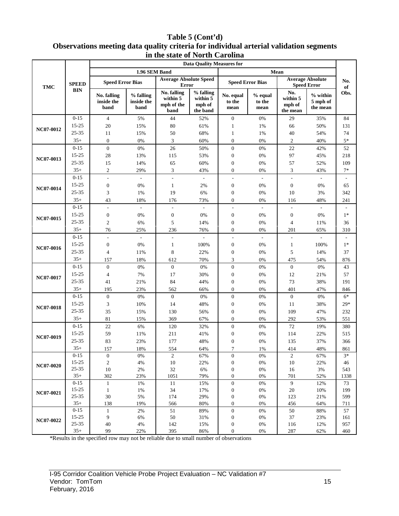#### **Table 5 (Cont'd) Observations meeting data quality criteria for individual arterial validation segments in the state of North Carolina**

|                  |                    |                                   |                                 |                                               | <b>Data Quality Measures for</b>            |                                      |                           |                                       |                                               |           |
|------------------|--------------------|-----------------------------------|---------------------------------|-----------------------------------------------|---------------------------------------------|--------------------------------------|---------------------------|---------------------------------------|-----------------------------------------------|-----------|
|                  |                    |                                   | 1.96 SEM Band                   |                                               |                                             |                                      |                           | Mean                                  |                                               |           |
| <b>TMC</b>       | <b>SPEED</b>       | <b>Speed Error Bias</b>           |                                 | <b>Average Absolute Speed</b><br>Error        |                                             | <b>Speed Error Bias</b>              |                           |                                       | <b>Average Absolute</b><br><b>Speed Error</b> | No.<br>of |
|                  | <b>BIN</b>         | No. falling<br>inside the<br>band | % falling<br>inside the<br>band | No. falling<br>within 5<br>mph of the<br>band | % falling<br>within 5<br>mph of<br>the band | No. equal<br>to the<br>mean          | % equal<br>to the<br>mean | No.<br>within 5<br>mph of<br>the mean | % within<br>5 mph of<br>the mean              | Obs.      |
| NC07-0012        | $0 - 15$           | $\overline{4}$                    | 5%                              | 44                                            | 52%                                         | $\boldsymbol{0}$                     | 0%                        | 29                                    | 35%                                           | 84        |
|                  | 15-25              | 20                                | 15%                             | 80                                            | 61%                                         | 1                                    | 1%                        | 66                                    | 50%                                           | 131       |
|                  | 25-35              | 11                                | 15%                             | 50                                            | 68%                                         | 1                                    | 1%                        | 40                                    | 54%                                           | 74        |
|                  | $35+$              | $\overline{0}$                    | 0%                              | 3                                             | 60%                                         | $\boldsymbol{0}$                     | 0%                        | $\overline{c}$                        | 40%                                           | $5*$      |
|                  | $0 - 15$           | $\overline{0}$                    | 0%                              | 26                                            | 50%                                         | $\boldsymbol{0}$                     | 0%                        | 22                                    | 42%                                           | 52        |
| NC07-0013        | 15-25              | $28\,$                            | 13%                             | 115                                           | 53%                                         | $\boldsymbol{0}$                     | 0%                        | 97                                    | 45%                                           | 218       |
|                  | 25-35              | 15                                | 14%                             | 65                                            | 60%                                         | $\boldsymbol{0}$                     | $0\%$                     | 57                                    | 52%                                           | 109       |
|                  | $35+$              | $\overline{c}$                    | 29%                             | 3                                             | 43%                                         | $\mathbf{0}$                         | 0%                        | 3                                     | 43%                                           | $7*$      |
|                  | $0 - 15$           |                                   |                                 | $\overline{a}$                                |                                             | $\overline{\phantom{a}}$             |                           | $\overline{a}$                        |                                               |           |
| NC07-0014        | 15-25              | $\boldsymbol{0}$                  | 0%                              | 1                                             | 2%                                          | $\boldsymbol{0}$                     | 0%                        | $\boldsymbol{0}$                      | 0%                                            | 65        |
|                  | 25-35              | 3                                 | 1%                              | 19                                            | 6%                                          | $\boldsymbol{0}$                     | 0%                        | 10                                    | 3%                                            | 342       |
|                  | $35+$              | 43                                | 18%                             | 176                                           | 73%                                         | $\boldsymbol{0}$                     | 0%                        | 116                                   | 48%                                           | 241       |
|                  | $0 - 15$           | ÷,                                | $\omega$                        | $\overline{a}$                                | $\sim$                                      | ÷,                                   | $\bar{\phantom{a}}$       | $\overline{\phantom{a}}$              | $\omega$                                      |           |
| NC07-0015        | 15-25              | $\boldsymbol{0}$                  | 0%                              | $\boldsymbol{0}$                              | 0%                                          | $\boldsymbol{0}$                     | 0%                        | $\boldsymbol{0}$                      | 0%                                            | $1*$      |
|                  | 25-35              | $\mathfrak{2}$                    | 6%                              | 5                                             | 14%                                         | $\boldsymbol{0}$                     | 0%                        | $\overline{4}$                        | 11%                                           | 36        |
|                  | $35+$              | 76                                | 25%                             | 236                                           | 76%                                         | $\boldsymbol{0}$                     | 0%                        | 201                                   | 65%                                           | 310       |
| NC07-0016        | $0 - 15$           | L,                                | $\overline{\phantom{a}}$        | $\overline{\phantom{a}}$                      | J.                                          | L,                                   | $\sim$                    | $\overline{a}$                        | ÷                                             |           |
|                  | 15-25              | $\boldsymbol{0}$                  | 0%                              | 1                                             | 100%                                        | $\boldsymbol{0}$                     | 0%                        | $\mathbf{1}$                          | 100%                                          | $1*$      |
|                  | 25-35              | 4                                 | 11%                             | $\,$ 8 $\,$                                   | 22%                                         | $\boldsymbol{0}$                     | 0%                        | 5                                     | 14%                                           | 37        |
|                  | $35+$              | 157                               | 18%                             | 612                                           | 70%                                         | 3                                    | 0%                        | 475                                   | 54%                                           | 876       |
|                  | $0 - 15$           | $\overline{0}$                    | 0%                              | $\boldsymbol{0}$                              | 0%                                          | $\boldsymbol{0}$                     | 0%                        | $\boldsymbol{0}$                      | 0%                                            | 43        |
| NC07-0017        | 15-25              | $\overline{\mathbf{4}}$           | 7%                              | 17                                            | 30%                                         | $\boldsymbol{0}$                     | 0%                        | 12                                    | 21%                                           | 57        |
|                  | $25 - 35$          | 41                                | 21%                             | 84                                            | 44%                                         | $\boldsymbol{0}$                     | 0%                        | 73                                    | 38%                                           | 191       |
|                  | $35+$              | 195                               | 23%                             | 562                                           | 66%                                         | $\boldsymbol{0}$                     | 0%                        | 401                                   | 47%                                           | 846       |
|                  | $0 - 15$           | $\boldsymbol{0}$                  | 0%                              | $\boldsymbol{0}$                              | 0%                                          | $\boldsymbol{0}$                     | 0%                        | $\mathbf{0}$                          | 0%                                            | $6*$      |
| <b>NC07-0018</b> | 15-25              | 3                                 | 10%                             | 14                                            | 48%                                         | $\boldsymbol{0}$                     | 0%                        | 11                                    | 38%                                           | $29*$     |
|                  | 25-35              | 35                                | 15%                             | 130                                           | 56%                                         | $\boldsymbol{0}$                     | 0%                        | 109                                   | 47%                                           | 232       |
|                  | $35+$              | 81                                | 15%                             | 369                                           | 67%                                         | $\overline{0}$                       | 0%                        | 292                                   | 53%                                           | 551       |
|                  | $0 - 15$           | $22\,$                            | 6%                              | 120                                           | 32%                                         | $\boldsymbol{0}$                     | $0\%$                     | 72                                    | 19%                                           | 380       |
| NC07-0019        | 15-25              | 59                                | 11%                             | 211                                           | 41%                                         | $\boldsymbol{0}$                     | 0%                        | 114                                   | 22%                                           | 515       |
|                  | 25-35              | 83                                | 23%                             | 177                                           | 48%                                         | $\boldsymbol{0}$                     | 0%                        | 135                                   | 37%                                           | 366       |
|                  | $35+$              | 157                               | $18\%$                          | 554                                           | 64%                                         | 7                                    | $1\%$                     | 414                                   | 48%                                           | 861       |
|                  | $0-15$             | $\mathbf{0}$                      | 0%                              | $\sqrt{2}$                                    | 67%                                         | $\boldsymbol{0}$                     | $0\%$                     | $\overline{c}$                        | 67%                                           | $3*$      |
| $NC07-0020$      | 15-25              | $\overline{c}$                    | $4\%$                           | $10\,$                                        | 22%                                         | $\boldsymbol{0}$                     | $0\%$                     | $10\,$                                | 22%                                           | 46        |
|                  | $25 - 35$          | $10\,$                            | $2\%$                           | 32                                            | 6%                                          | $\boldsymbol{0}$                     | $0\%$                     | 16                                    | $3%$                                          | 543       |
|                  | $35+$              | 302                               | 23%                             | 1051                                          | 79%                                         | $\boldsymbol{0}$                     | 0%                        | 701                                   | 52%                                           | 1338      |
|                  | $0 - 15$           | $\mathbf{1}$                      | 1%                              | 11                                            | 15%                                         | $\boldsymbol{0}$                     | $0\%$                     | 9                                     | 12%                                           | 73        |
| NC07-0021        | 15-25              | $\mathbf{1}$                      | 1%                              | 34                                            | 17%                                         | $\boldsymbol{0}$                     | $0\%$                     | $20\,$                                | 10%                                           | 199       |
|                  | $25 - 35$<br>$35+$ | $30\,$                            | 5%<br>19%                       | 174                                           | 29%<br>80%                                  | $\boldsymbol{0}$<br>$\boldsymbol{0}$ | 0%<br>0%                  | 123                                   | 21%                                           | 599       |
|                  | $0 - 15$           | 138<br>$\mathbf{1}$               | 2%                              | 566<br>51                                     | 89%                                         | $\boldsymbol{0}$                     | 0%                        | 456<br>50                             | 64%<br>88%                                    | 711<br>57 |
|                  | 15-25              | 9                                 | 6%                              | 50                                            | 31%                                         | $\boldsymbol{0}$                     | $0\%$                     | 37                                    | 23%                                           | 161       |
| NC07-0022        | $25 - 35$          | $40\,$                            | $4\%$                           | 142                                           | 15%                                         | $\boldsymbol{0}$                     | $0\%$                     | 116                                   | 12%                                           | 957       |
|                  | $35+$              | 99                                | 22%                             | 395                                           | 86%                                         | $\boldsymbol{0}$                     | 0%                        | 287                                   | 62%                                           | 460       |